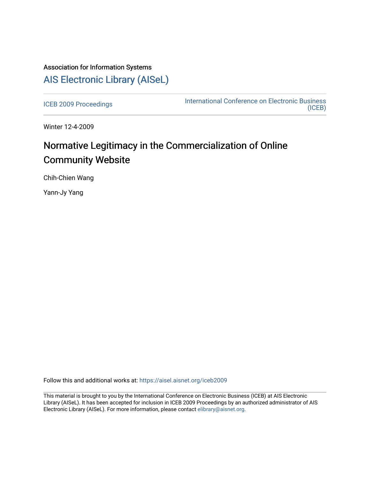# Association for Information Systems [AIS Electronic Library \(AISeL\)](https://aisel.aisnet.org/)

[ICEB 2009 Proceedings](https://aisel.aisnet.org/iceb2009) **International Conference on Electronic Business** [\(ICEB\)](https://aisel.aisnet.org/iceb) 

Winter 12-4-2009

# Normative Legitimacy in the Commercialization of Online Community Website

Chih-Chien Wang

Yann-Jy Yang

Follow this and additional works at: [https://aisel.aisnet.org/iceb2009](https://aisel.aisnet.org/iceb2009?utm_source=aisel.aisnet.org%2Ficeb2009%2F30&utm_medium=PDF&utm_campaign=PDFCoverPages)

This material is brought to you by the International Conference on Electronic Business (ICEB) at AIS Electronic Library (AISeL). It has been accepted for inclusion in ICEB 2009 Proceedings by an authorized administrator of AIS Electronic Library (AISeL). For more information, please contact [elibrary@aisnet.org.](mailto:elibrary@aisnet.org%3E)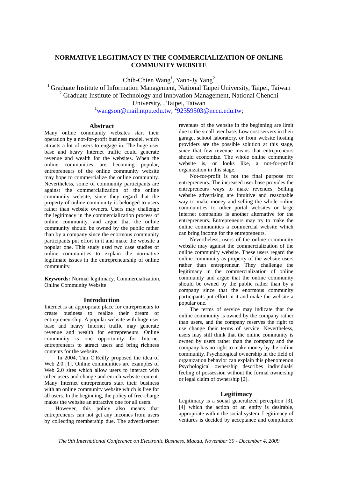# **NORMATIVE LEGITIMACY IN THE COMMERCIALIZATION OF ONLINE COMMUNITY WEBSITE**

Chih-Chien Wang<sup>1</sup>, Yann-Jy Yang<sup>2</sup>

<sup>1</sup> Graduate Institute of Information Management, National Taipei University, Taipei, Taiwan <sup>2</sup> Graduate Institute of Technology and Innovation Management, National Chenchi University, , Taipei, Taiwan

 $\frac{1}{2}$ wangson@mail.ntpu.edu.tw;  $\frac{292359503}{2}$ @nccu.edu.tw;

#### **Abstract**

Many online community websites start their operation by a not-for-profit business model, which attracts a lot of users to engage in. The huge user base and heavy Internet traffic could generate revenue and wealth for the websites. When the online communities are becoming popular, entrepreneurs of the online community website may hope to commercialize the online community. Nevertheless, some of community participants are against the commercialization of the online community website, since they regard that the property of online community is belonged to users rather than website owners. Users may challenge the legitimacy in the commercialization process of online community, and argue that the online community should be owned by the public rather than by a company since the enormous community participants put effort in it and make the website a popular one. This study used two case studies of online communities to explain the normative legitimate issues in the entrepreneurship of online community.

**Keywords:** Normal legitimacy, Commercialization, Online Community Website

#### **Introduction**

Internet is an appropriate place for entrepreneurs to create business to realize their dream of entrepreneurship. A popular website with huge user base and heavy Internet traffic may generate revenue and wealth for entrepreneurs. Online community is one opportunity for Internet entrepreneurs to attract users and bring richness contents for the website.

 In 2004, Tim O'Reilly proposed the idea of Web 2.0 [1]. Online communities are examples of Web 2.0 sites which allow users to interact with other users and change and enrich website content. Many Internet entrepreneurs start their business with an online community website which is free for all users. In the beginning, the policy of free-charge makes the website an attractive one for all users.

However, this policy also means that entrepreneurs can not get any incomes from users by collecting membership due. The advertisement revenues of the website in the beginning are limit due to the small user base. Low cost servers in their garage, school laboratory, or from website hosting providers are the possible solution at this stage, since that few revenue means that entrepreneurs should economize. The whole online community website is, or looks like, a not-for-profit organization in this stage.

Not-for-profit is not the final purpose for entrepreneurs. The increased user base provides the entrepreneurs ways to make revenues. Selling website advertising are intuitive and reasonable way to make money and selling the whole online communities to other portal websites or large Internet companies is another alternative for the entrepreneurs. Entrepreneurs may try to make the online communities a commercial website which can bring income for the entrepreneurs.

Nevertheless, users of the online community website may against the commercialization of the online community website. These users regard the online community as property of the website users rather than entrepreneur. They challenge the legitimacy in the commercialization of online community and argue that the online community should be owned by the public rather than by a company since that the enormous community participants put effort in it and make the website a popular one.

The terms of service may indicate that the online community is owned by the company rather than users, and the company reserves the right to use change their terms of service. Nevertheless, users may still think that the online community is owned by users rather than the company and the company has no right to make money by the online community. Psychological ownership in the field of organization behavior can explain this phenomenon. Psychological ownership describes individuals' feeling of possession without the formal ownership or legal claim of ownership [2].

# **Legitimacy**

Legitimacy is a social generalized perception [3], [4] which the action of an entity is desirable, appropriate within the social system. Legitimacy of ventures is decided by acceptance and compliance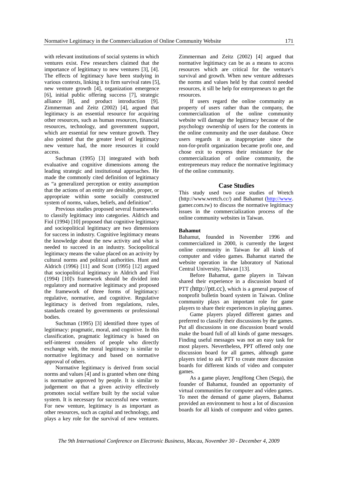with relevant institutions of social systems in which ventures exist. Few researchers claimed that the importance of legitimacy to new ventures [3], [4]. The effects of legitimacy have been studying in various contexts, linking it to firm survival rates [5], new venture growth [4], organization emergence [6], initial public offering success [7], strategic alliance [8], and product introduction [9]. Zimmerman and Zeitz (2002) [4], argued that legitimacy is an essential resource for acquiring other resources, such as human resources, financial resources, technology, and government support, which are essential for new venture growth. They also pointed that the greater level of legitimacy new venture had, the more resources it could access.

Suchman (1995) [3] integrated with both evaluative and cognitive dimensions among the leading strategic and institutional approaches. He made the commonly cited definition of legitimacy as "a generalized perception or entity assumption that the actions of an entity are desirable, proper, or appropriate within some socially constructed system of norms, values, beliefs, and definition".

Previous studies proposed several frameworks to classify legitimacy into categories. Aldrich and Fiol (1994) [10] proposed that cognitive legitimacy and sociopolitical legitimacy are two dimensions for success in industry. Cognitive legitimacy means the knowledge about the new activity and what is needed to succeed in an industry. Sociopolitical legitimacy means the value placed on an activity by cultural norms and political authorities. Hunt and Aldrich (1996) [11] and Scott (1995) [12] argued that sociopolitical legitimacy in Aldrich and Fiol (1994) [10]'s framework should be divided into regulatory and normative legitimacy and proposed the framework of three forms of legitimacy: regulative, normative, and cognitive. Regulative legitimacy is derived from regulations, rules, standards created by governments or professional bodies.

Suchman (1995) [3] identified three types of legitimacy: pragmatic, moral, and cognitive. In this classification, pragmatic legitimacy is based on self-interest considers of people who directly exchange with, the moral legitimacy is similar to normative legitimacy and based on normative approval of others.

Normative legitimacy is derived from social norms and values [4] and is granted when one thing is normative approved by people. It is similar to judgement on that a given activity effectively promotes social welfare built by the social value system. It is necessary for successful new venture. For new venture, legitimacy is as important as other resources, such as capital and technology, and plays a key role for the survival of new ventures.

Zimmerman and Zeitz (2002) [4] argued that normative legitimacy can be as a means to access resources which are critical for the venture's survival and growth. When new venture addresses the norms and values held by that control needed resources, it sill be help for entrepreneurs to get the resources.

If users regard the online community as property of users rather than the company, the commercialization of the online community website will damage the legitimacy because of the psychology ownership of users for the contents in the online community and the user database. Once users regards it as inappropriate since the non-for-profit organization became profit one, and chose exit to express their resistance for the commercialization of online community, the entrepreneurs may reduce the normative legitimacy of the online community.

# **Case Studies**

This study used two case studies of Wretch (http://www.wretch.cc/) and Bahamut (http://www. gamer.com.tw) to discuss the normative legitimacy issues in the commercialization process of the online community websites in Taiwan.

#### **Bahamut**

Bahamut, founded in November 1996 and commercialized in 2000, is currently the largest online community in Taiwan for all kinds of computer and video games. Bahamut started the website operation in the laboratory of National Central University, Taiwan [13].

Before Bahamut, game players in Taiwan shared their experience in a discussion board of PTT (http://ptt.cc), which is a general purpose of nonprofit bulletin board system in Taiwan. Online community plays an important role for game players to share their experiences in playing games.

Game players played different games and preferred to classify their discussions by the games. Put all discussions in one discussion board would make the board full of all kinds of game messages. Finding useful messages was not an easy task for most players. Nevertheless, PPT offered only one discussion board for all games, although game players tried to ask PTT to create more discussion boards for different kinds of video and computer games.

As a game player, JengHong Chen (Sega), the founder of Bahamut, founded an opportunity of virtual communities for computer and video games. To meet the demand of game players, Bahamut provided an environment to host a lot of discussion boards for all kinds of computer and video games.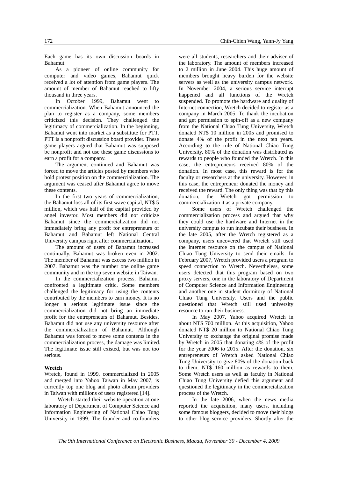Each game has its own discussion boards in Bahamut.

As a pioneer of online community for computer and video games, Bahamut quick received a lot of attention from game players. The amount of member of Bahamut reached to fifty thousand in three years.

In October 1999, Bahamut went to commercialization. When Bahamut announced the plan to register as a company, some members criticized this decision. They challenged the legitimacy of commercialization. In the beginning, Bahamut went into market as a substitute for PTT. PTT is a nonprofit discussion board provider. These game players argued that Bahamut was supposed be nonprofit and not use these game discussions to earn a profit for a company.

The argument continued and Bahamut was forced to move the articles posted by members who hold protest position on the commercialization. The argument was ceased after Bahamut agree to move these contents.

In the first two years of commercialization, the Bahamut loss all of its first wave capital, NT\$ 5 million, which was half of the capital provided by angel investor. Most members did not criticize Bahamut since the commercialization did not immediately bring any profit for entrepreneurs of Bahamut and Bahamut left National Central University campus right after commercialization.

The amount of users of Bahamut increased continually. Bahamut was broken even in 2002. The member of Bahamut was excess two million in 2007. Bahamut was the number one online game community and in the top seven website in Taiwan.

In the commercialization process, Bahamut confronted a legitimate critic. Some members challenged the legitimacy for using the contents contributed by the members to earn money. It is no longer a serious legitimate issue since the commercialization did not bring an immediate profit for the entrepreneurs of Bahamut. Besides, Bahamut did not use any university resource after the commercialization of Bahamut. Although Bahamut was forced to move some contents in the commercialization process, the damage was limited. The legitimate issue still existed, but was not too serious.

#### **Wretch**

Wretch, found in 1999, commercialized in 2005 and merged into Yahoo Taiwan in May 2007, is currently top one blog and photo album providers in Taiwan with millions of users registered [14].

 Wretch started their website operation at one laboratory of Department of Computer Science and Information Engineering of National Chiao Tung University in 1999. The founder and co-founders

were all students, researchers and their adviser of the laboratory. The amount of members increased to 2 million in June 2004. This huge amount of members brought heavy burden for the website servers as well as the university campus network. In November 2004, a serious service interrupt happened and all functions of the Wretch suspended. To promote the hardware and quality of Internet connection, Wretch decided to register as a company in March 2005. To thank the incubation and get permission to spin-off as a new company from the National Chiao Tung University, Wretch donated NT\$ 10 million in 2005 and promised to donate 4% of the profit in the next ten years. According to the rule of National Chiao Tung University, 80% of the donation was distributed as rewards to people who founded the Wretch. In this case, the entrepreneurs received 80% of the donation. In most case, this reward is for the faculty or researchers at the university. However, in this case, the entrepreneur donated the money and received the reward. The only thing was that by this donation, the Wretch got permission to commercialization it as a private company.

 Some users of Wretch challenged the commercialization process and argued that why they could use the hardware and Internet in the university campus to run incubate their business. In the late 2005, after the Wretch registered as a company, users uncovered that Wretch still used the Internet resource on the campus of National Chiao Tung University to send their emails. In February 2007, Wretch provided users a program to speed connection to Wretch. Nevertheless, some users detected that this program based on two proxy servers, one in the laboratory of Department of Computer Science and Information Engineering and another one in student dormitory of National Chiao Tung University. Users and the public questioned that Wretch still used university resource to run their business.

 In May 2007, Yahoo acquired Wretch in about NT\$ 700 million. At this acquisition, Yahoo donated NT\$ 20 million to National Chiao Tung University to exchange the original promise made by Wretch in 2005 that donating 4% of the profit for the year 2006 to 2015. After the donation, six entrepreneurs of Wretch asked National Chiao Tung University to give 80% of the donation back to them, NT\$ 160 million as rewards to them. Some Wretch users as well as faculty in National Chiao Tung University defied this argument and questioned the legitimacy in the commercialization process of the Wretch.

 In the late 2006, when the news media reported the acquisition, many users, including some famous bloggers, decided to move their blogs to other blog service providers. Shortly after the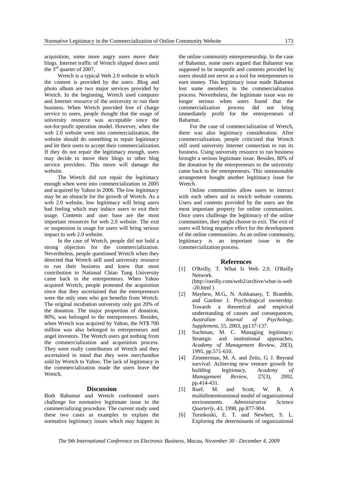acquisition, some more angry users move their blogs. Internet traffic of Wretch slipped down until the  $3<sup>rd</sup>$  quarter of 2007.

 Wretch is a typical Web 2.0 website in which the content is provided by the users. Blog and photo album are two major services provided by Wretch. In the beginning, Wretch used computer and Internet resource of the university to run their business. When Wretch provided free of charge service to users, people thought that the usage of university resource was acceptable since the not-for-profit operation model. However, when the web 2.0 website went into commercialization, the website should do something to repair legitimacy and let their users to accept their commercialization. If they do not repair the legitimacy enough, users may decide to move their blogs to other blog service providers. This move will damage the website.

 The Wretch did not repair the legitimacy enough when went into commercialization in 2005 and acquired by Yahoo in 2006. The low legitimacy may be an obstacle for the growth of Wretch. As a web 2.0 website, low legitimacy will bring users bad feeling which may induce users to exit their usage. Contents and user base are the most important resources for web 2.0 website. The exit or suspension in usage for users will bring serious impact to web 2.0 website.

 In the case of Wretch, people did not hold a strong objection for the commercialization. Nevertheless, people questioned Wretch when they detected that Wretch still used university resource to run their business and knew that most contribution to National Chiao Tung University came back to the entrepreneurs. When Yahoo acquired Wretch, people protested the acquisition since that they ascertained that the entrepreneurs were the only ones who got benefits from Wretch. The original incubation university only got 20% of the donation. The major proportion of donation, 80%, was belonged to the entrepreneurs. Besides, when Wretch was acquired by Yahoo, the NT\$ 700 million was also belonged to entrepreneurs and angel investors. The Wretch users got nothing from the commercialization and acquisition process. They were really contributors of Wretch and they ascertained in mind that they were merchandise sold by Wretch to Yahoo. The lack of legitimacy in the commercialization made the users leave the Wretch.

# **Discussion**

Both Bahamut and Wretch confronted users challenge for normative legitimate issue in the commercializing procedure. The current study used these two cases as examples to explain the normative legitimacy issues which may happen in

the online community entrepreneurship. In the case of Bahamut, some users argued that Bahamut was supposed to be nonprofit and contents provided by users should not serve as a tool for entrepreneurs to earn money. This legitimacy issue made Bahamut lost some members in the commercialization process. Nevertheless, the legitimate issue was no longer serious when users found that the commercialization process did not bring immediately profit for the entrepreneurs of Bahamut.

For the case of commercialization of Wretch, there was also legitimacy consideration. After commercialization, people criticized that Wretch still used university Internet connection to run its business. Using university resource to run business brought a serious legitimate issue. Besides, 80% of the donation by the entrepreneurs to the university came back to the entrepreneurs. This unreasonable arrangement bought another legitimacy issue for Wretch.

Online communities allow users to interact with each others and to enrich website contents. Users and contents provided by the users are the most important property for online communities. Once users challenge the legitimacy of the online communities, they might choose to exit. The exit of users will bring negative effect for the development of the online communities. As an online community, legitimacy is an important issue in the commercialization process.

#### **References**

- [1] O'Reilly, T. What Is Web 2.0. O'Reilly Network. (http://oreilly.com/web2/archive/what-is-web
- -20.html ) [2] Mayhew, M.G., N. Ashkanasy, T. Bramble, and Gardner J. Psychological ownership: Towards a theoretical and empirical understanding of causes and consequences, *Australian Journal of Psychology, Supplement,* 55, 2003, pp137-137.
- [3] Suchman, M. C. Managing legitimacy: Strategic and institutional approaches, *Academy of Management Review*, 20(3), 1995, pp.571-610.
- [4] Zimmerman, M. A. and Zeitz, G. J. Beyond survival: Achieving new venture growth by building legitimacy, *Academy of Management Review*, 27(3), 2002, pp.414-431.
- [5] Ruef, M. and Scott, W. R. A multidimentionsional model of organizational environments. *Administrative Science Quarterly*, 43, 1998, pp.877-904.
- [6] Tornikoski, E. T. and Newbert, S. L. Exploring the determinants of organizational